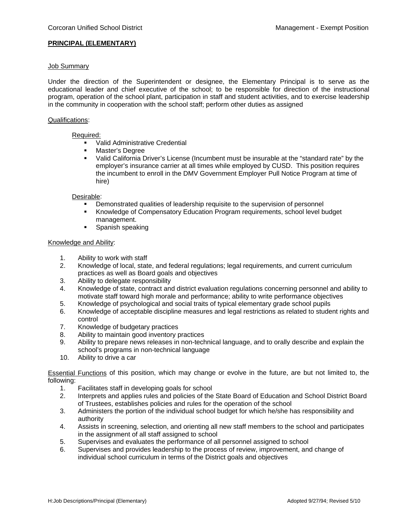# **PRINCIPAL (ELEMENTARY)**

### Job Summary

Under the direction of the Superintendent or designee, the Elementary Principal is to serve as the educational leader and chief executive of the school; to be responsible for direction of the instructional program, operation of the school plant, participation in staff and student activities, and to exercise leadership in the community in cooperation with the school staff; perform other duties as assigned

### Qualifications:

### Required:

- Valid Administrative Credential
- **Master's Degree**<br>A Valid California D
- Valid California Driver's License (Incumbent must be insurable at the "standard rate" by the employer's insurance carrier at all times while employed by CUSD. This position requires the incumbent to enroll in the DMV Government Employer Pull Notice Program at time of hire)

### Desirable:

- Demonstrated qualities of leadership requisite to the supervision of personnel
- Knowledge of Compensatory Education Program requirements, school level budget management.
- **Spanish speaking**

### Knowledge and Ability:

- 1. Ability to work with staff
- 2. Knowledge of local, state, and federal regulations; legal requirements, and current curriculum practices as well as Board goals and objectives
- 3. Ability to delegate responsibility
- 4. Knowledge of state, contract and district evaluation regulations concerning personnel and ability to motivate staff toward high morale and performance; ability to write performance objectives
- 5. Knowledge of psychological and social traits of typical elementary grade school pupils
- 6. Knowledge of acceptable discipline measures and legal restrictions as related to student rights and control
- 7. Knowledge of budgetary practices
- 8. Ability to maintain good inventory practices
- 9. Ability to prepare news releases in non-technical language, and to orally describe and explain the school's programs in non-technical language
- 10. Ability to drive a car

Essential Functions of this position, which may change or evolve in the future, are but not limited to, the following:

- 1. Facilitates staff in developing goals for school
- 2. Interprets and applies rules and policies of the State Board of Education and School District Board of Trustees, establishes policies and rules for the operation of the school
- 3. Administers the portion of the individual school budget for which he/she has responsibility and authority
- 4. Assists in screening, selection, and orienting all new staff members to the school and participates in the assignment of all staff assigned to school
- 5. Supervises and evaluates the performance of all personnel assigned to school
- 6. Supervises and provides leadership to the process of review, improvement, and change of individual school curriculum in terms of the District goals and objectives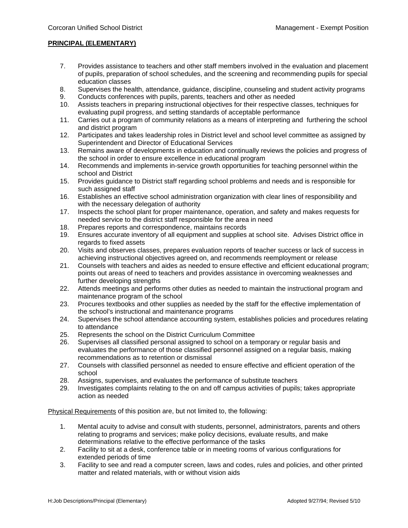# **PRINCIPAL (ELEMENTARY)**

- 7. Provides assistance to teachers and other staff members involved in the evaluation and placement of pupils, preparation of school schedules, and the screening and recommending pupils for special education classes
- 8. Supervises the health, attendance, guidance, discipline, counseling and student activity programs
- 9. Conducts conferences with pupils, parents, teachers and other as needed
- 10. Assists teachers in preparing instructional objectives for their respective classes, techniques for evaluating pupil progress, and setting standards of acceptable performance
- 11. Carries out a program of community relations as a means of interpreting and furthering the school and district program
- 12. Participates and takes leadership roles in District level and school level committee as assigned by Superintendent and Director of Educational Services
- 13. Remains aware of developments in education and continually reviews the policies and progress of the school in order to ensure excellence in educational program
- 14. Recommends and implements in-service growth opportunities for teaching personnel within the school and District
- 15. Provides guidance to District staff regarding school problems and needs and is responsible for such assigned staff
- 16. Establishes an effective school administration organization with clear lines of responsibility and with the necessary delegation of authority
- 17. Inspects the school plant for proper maintenance, operation, and safety and makes requests for needed service to the district staff responsible for the area in need
- 18. Prepares reports and correspondence, maintains records
- 19. Ensures accurate inventory of all equipment and supplies at school site. Advises District office in regards to fixed assets
- 20. Visits and observes classes, prepares evaluation reports of teacher success or lack of success in achieving instructional objectives agreed on, and recommends reemployment or release
- 21. Counsels with teachers and aides as needed to ensure effective and efficient educational program; points out areas of need to teachers and provides assistance in overcoming weaknesses and further developing strengths
- 22. Attends meetings and performs other duties as needed to maintain the instructional program and maintenance program of the school
- 23. Procures textbooks and other supplies as needed by the staff for the effective implementation of the school's instructional and maintenance programs
- 24. Supervises the school attendance accounting system, establishes policies and procedures relating to attendance
- 25. Represents the school on the District Curriculum Committee
- 26. Supervises all classified personal assigned to school on a temporary or regular basis and evaluates the performance of those classified personnel assigned on a regular basis, making recommendations as to retention or dismissal
- 27. Counsels with classified personnel as needed to ensure effective and efficient operation of the school
- 28. Assigns, supervises, and evaluates the performance of substitute teachers
- 29. Investigates complaints relating to the on and off campus activities of pupils; takes appropriate action as needed

Physical Requirements of this position are, but not limited to, the following:

- 1. Mental acuity to advise and consult with students, personnel, administrators, parents and others relating to programs and services; make policy decisions, evaluate results, and make determinations relative to the effective performance of the tasks
- 2. Facility to sit at a desk, conference table or in meeting rooms of various configurations for extended periods of time
- 3. Facility to see and read a computer screen, laws and codes, rules and policies, and other printed matter and related materials, with or without vision aids